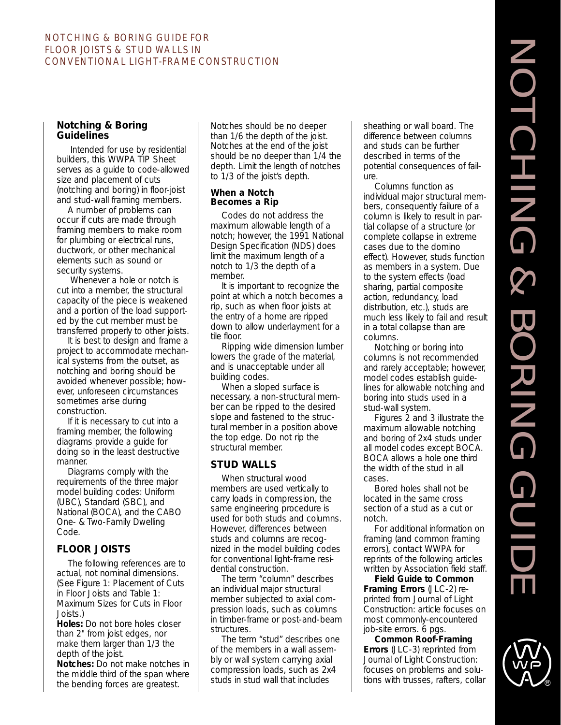## NOTCHING & BORING GUIDE FOR FLOOR JOISTS & STUD WALLS IN CONVENTIONAL LIGHT-FRAME CONSTRUCTION

### **Notching & Boring Guidelines**

Intended for use by residential builders, this WWPA TIP Sheet serves as a guide to code-allowed size and placement of cuts (notching and boring) in floor-joist and stud-wall framing members.

A number of problems can occur if cuts are made through framing members to make room for plumbing or electrical runs, ductwork, or other mechanical elements such as sound or security systems.

Whenever a hole or notch is cut into a member, the structural capacity of the piece is weakened and a portion of the load supported by the cut member must be transferred properly to other joists.

It is best to design and frame a project to accommodate mechanical systems from the outset, as notching and boring should be avoided whenever possible; however, unforeseen circumstances sometimes arise during construction.

If it is necessary to cut into a framing member, the following diagrams provide a guide for doing so in the least destructive manner.

Diagrams comply with the requirements of the three major model building codes: Uniform (UBC), Standard (SBC), and National (BOCA), and the CABO One- & Two-Family Dwelling Code.

# **FLOOR JOISTS**

The following references are to actual, not nominal dimensions. (See Figure 1: *Placement of Cuts in Floor Joists* and Table 1*: Maximum Sizes for Cuts in Floor Joists.)*

**Holes:** Do not bore holes closer than 2" from joist edges, nor make them larger than 1/3 the depth of the joist.

**Notches:** Do not make notches in the middle third of the span where the bending forces are greatest.

Notches should be no deeper than 1/6 the depth of the joist. Notches at the end of the joist should be no deeper than 1/4 the depth. Limit the length of notches to 1/3 of the joist's depth.

#### **When a Notch Becomes a Rip**

Codes do not address the maximum allowable length of a notch; however, the 1991 *National Design Specification (NDS)* does limit the maximum length of a notch to 1/3 the depth of a member.

It is important to recognize the point at which a notch becomes a rip, such as when floor joists at the entry of a home are ripped down to allow underlayment for a tile floor.

Ripping wide dimension lumber lowers the grade of the material, and is unacceptable under all building codes.

When a sloped surface is necessary, a non-structural member can be ripped to the desired slope and fastened to the structural member in a position above the top edge. Do not rip the structural member.

## **STUD WALLS**

When structural wood members are used vertically to carry loads in compression, the same engineering procedure is used for both studs and columns. However, differences between studs and columns are recognized in the model building codes for conventional light-frame residential construction.

The term "column" describes an individual major structural member subjected to axial compression loads, such as columns in timber-frame or post-and-beam structures.

The term "stud" describes one of the members in a wall assembly or wall system carrying axial compression loads, such as 2x4 studs in stud wall that includes

sheathing or wall board. The difference between columns and studs can be further described in terms of the potential consequences of failure.

Columns function as individual major structural members, consequently failure of a column is likely to result in partial collapse of a structure (or complete collapse in extreme cases due to the domino effect). However, studs function as members in a system. Due to the system effects (load sharing, partial composite action, redundancy, load distribution, etc.), studs are much less likely to fail and result in a total collapse than are columns.

Notching or boring into columns is not recommended and rarely acceptable; however, model codes establish guidelines for allowable notching and boring into studs used in a stud-wall system.

Figures 2 and 3 illustrate the maximum allowable notching and boring of 2x4 studs under all model codes except BOCA. BOCA allows a hole one third the width of the stud in all cases.

Bored holes shall not be located in the same cross section of a stud as a cut or notch.

For additional information on framing (and common framing errors), contact WWPA for reprints of the following articles written by Association field staff.

**Field Guide to Common Framing Errors** (JLC-2) reprinted from *Journal of Light Construction*: article focuses on most commonly-encountered job-site errors. 6 pgs.

**Common Roof-Framing Errors** (JLC-3) reprinted from *Journal of Light Construction:* focuses on problems and solutions with trusses, rafters, collar